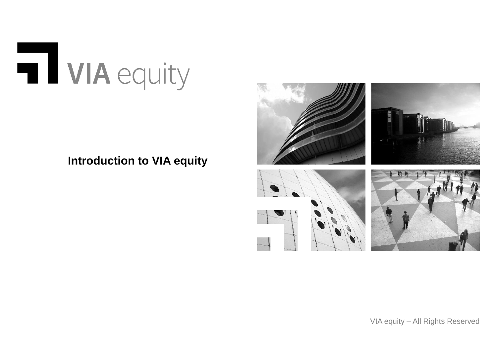

# **Introduction to VIA equity**



VIA equity – All Rights Reserved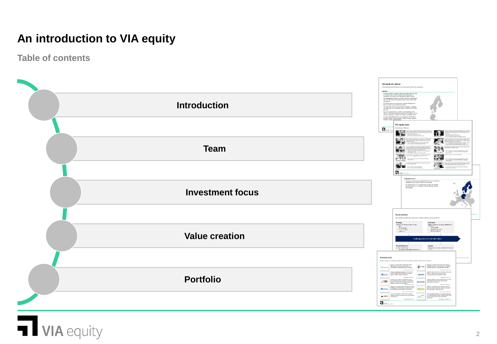# **An introduction to VIA equity**

**Table of contents**



# **VIA** equity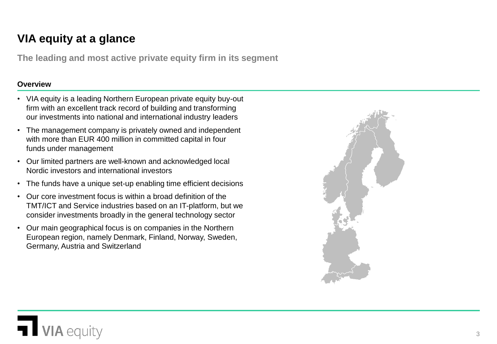# **VIA equity at a glance**

**The leading and most active private equity firm in its segment**

#### **Overview**

- VIA equity is a leading Northern European private equity buy-out firm with an excellent track record of building and transforming our investments into national and international industry leaders
- The management company is privately owned and independent with more than EUR 400 million in committed capital in four funds under management
- Our limited partners are well-known and acknowledged local Nordic investors and international investors
- The funds have a unique set-up enabling time efficient decisions
- Our core investment focus is within a broad definition of the TMT/ICT and Service industries based on an IT-platform, but we consider investments broadly in the general technology sector
- Our main geographical focus is on companies in the Northern European region, namely Denmark, Finland, Norway, Sweden, Germany, Austria and Switzerland



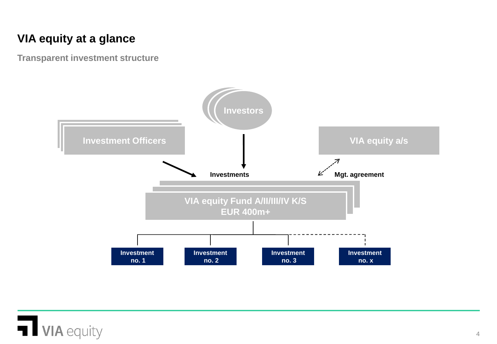# **VIA equity at a glance**

**Transparent investment structure**



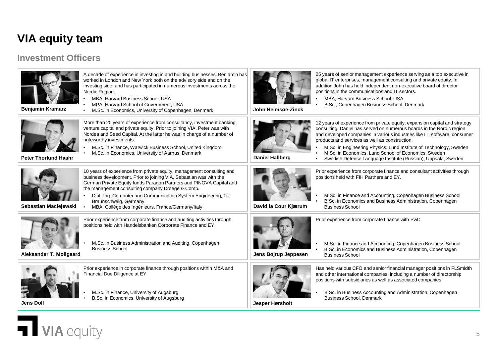## **VIA equity team**

#### **Investment Officers**

**Jens Doll**

**VIA** equity



**Jesper Hørsholt**

25 years of senior management experience serving as a top executive in global IT enterprises, management consulting and private equity. In addition John has held independent non-executive board of director positions in the communications and IT sectors.

- MBA, Harvard Business School, USA
- B.Sc., Copenhagen Business School, Denmark

5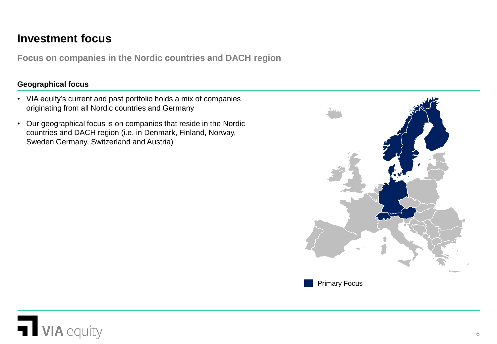## **Investment focus**

**Focus on companies in the Nordic countries and DACH region**

#### **Geographical focus**

- VIA equity's current and past portfolio holds a mix of companies originating from all Nordic countries and Germany
- Our geographical focus is on companies that reside in the Nordic countries and DACH region (i.e. in Denmark, Finland, Norway, Sweden Germany, Switzerland and Austria)



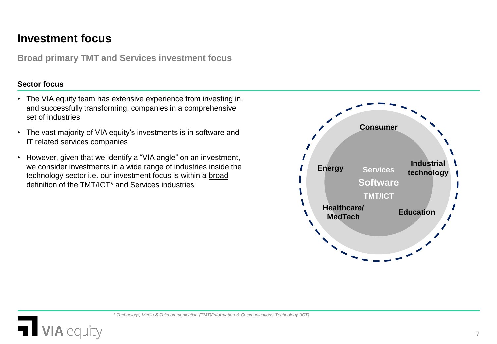## **Investment focus**

**IA** equity

**Broad primary TMT and Services investment focus**

#### **Sector focus**

- The VIA equity team has extensive experience from investing in, and successfully transforming, companies in a comprehensive set of industries
- The vast majority of VIA equity's investments is in software and IT related services companies
- However, given that we identify a "VIA angle" on an investment, we consider investments in a wide range of industries inside the technology sector i.e. our investment focus is within a broad definition of the TMT/ICT\* and Services industries

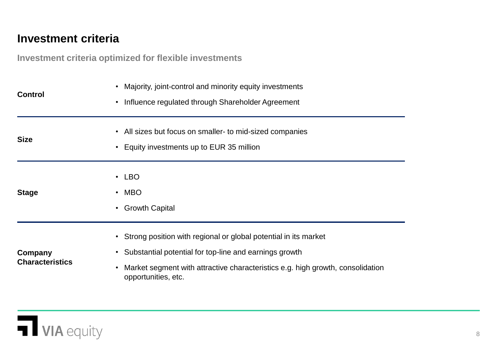## **Investment criteria**

**Investment criteria optimized for flexible investments**

| <b>Control</b>                    | • Majority, joint-control and minority equity investments<br>Influence regulated through Shareholder Agreement<br>$\bullet$                                                                                                                                    |
|-----------------------------------|----------------------------------------------------------------------------------------------------------------------------------------------------------------------------------------------------------------------------------------------------------------|
| <b>Size</b>                       | • All sizes but focus on smaller- to mid-sized companies<br>• Equity investments up to EUR 35 million                                                                                                                                                          |
| <b>Stage</b>                      | $\cdot$ LBO<br><b>MBO</b><br>$\bullet$<br><b>Growth Capital</b><br>$\bullet$                                                                                                                                                                                   |
| Company<br><b>Characteristics</b> | • Strong position with regional or global potential in its market<br>Substantial potential for top-line and earnings growth<br>$\bullet$<br>Market segment with attractive characteristics e.g. high growth, consolidation<br>$\bullet$<br>opportunities, etc. |

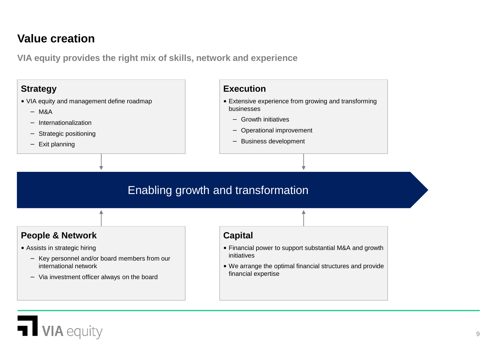## **Value creation**

**VIA equity provides the right mix of skills, network and experience** 

## **Strategy**

- VIA equity and management define roadmap
	- − M&A
	- − Internationalization
	- − Strategic positioning
	- − Exit planning

#### **Execution**

- Extensive experience from growing and transforming businesses
	- − Growth initiatives
	- − Operational improvement
	- − Business development

# Enabling growth and transformation

### **People & Network**

- Assists in strategic hiring
	- − Key personnel and/or board members from our international network
	- − Via investment officer always on the board

**IA** equity

#### **Capital**

- Financial power to support substantial M&A and growth initiatives
- We arrange the optimal financial structures and provide financial expertise

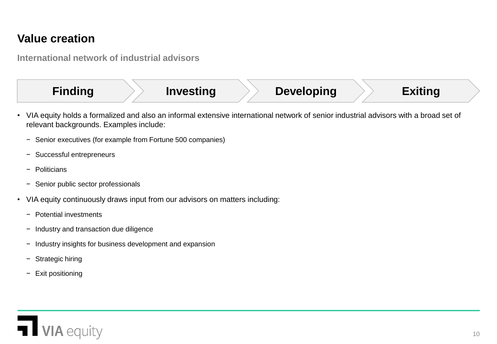## **Value creation**

**International network of industrial advisors**

**Finding Investing Developing Exiting**

- VIA equity holds a formalized and also an informal extensive international network of senior industrial advisors with a broad set of relevant backgrounds. Examples include:
	- − Senior executives (for example from Fortune 500 companies)
	- − Successful entrepreneurs
	- − Politicians
	- − Senior public sector professionals
- VIA equity continuously draws input from our advisors on matters including:
	- − Potential investments
	- − Industry and transaction due diligence
	- − Industry insights for business development and expansion
	- − Strategic hiring
	- − Exit positioning

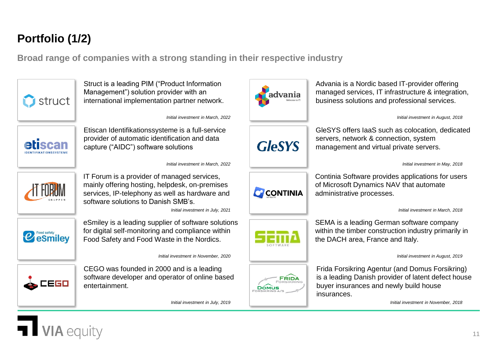# **Portfolio (1/2)**

**Broad range of companies with a strong standing in their respective industry**



Struct is a leading PIM ("Product Information Management") solution provider with an international implementation partner network.



Advania is a Nordic based IT-provider offering managed services, IT infrastructure & integration, business solutions and professional services.

*Initial investment in August, 2018* 



Etiscan Identifikationssysteme is a full-service provider of automatic identification and data capture ("AIDC") software solutions

*Initial investment in March, 2022*

*Initial investment in March, 2022* 



IT Forum is a provider of managed services, mainly offering hosting, helpdesk, on-premises services, IP-telephony as well as hardware and software solutions to Danish SMB's.

*Initial investment in July, 2021*



eSmiley is a leading supplier of software solutions for digital self-monitoring and compliance within Food Safety and Food Waste in the Nordics.

*Initial investment in November, 2020* 



CEGO was founded in 2000 and is a leading software developer and operator of online based entertainment.

*Initial investment in July, 2019* 



GleSYS offers IaaS such as colocation, dedicated servers, network & connection, system management and virtual private servers.

*Initial investment in May, 2018* 



Continia Software provides applications for users of Microsoft Dynamics NAV that automate administrative processes.

*Initial investment in March, 2018* 



SEMA is a leading German software company within the timber construction industry primarily in the DACH area, France and Italy.

*Initial investment in August, 2019* 



Frida Forsikring Agentur (and Domus Forsikring) is a leading Danish provider of latent defect house buyer insurances and newly build house insurances.

*Initial investment in November, 2018* 

11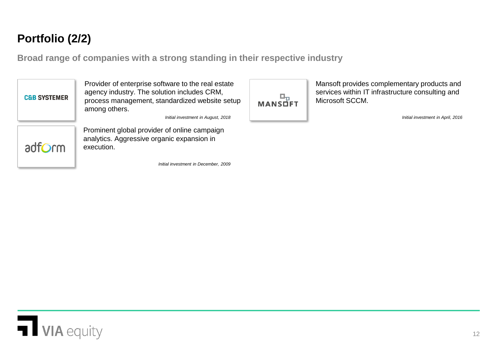# **Portfolio (2/2)**

**Broad range of companies with a strong standing in their respective industry**



Provider of enterprise software to the real estate agency industry. The solution includes CRM, process management, standardized website setup among others.

*Initial investment in August, 2018* 



Prominent global provider of online campaign analytics. Aggressive organic expansion in execution.

*Initial investment in December, 2009* 



Mansoft provides complementary products and services within IT infrastructure consulting and Microsoft SCCM.

*Initial investment in April, 2016* 

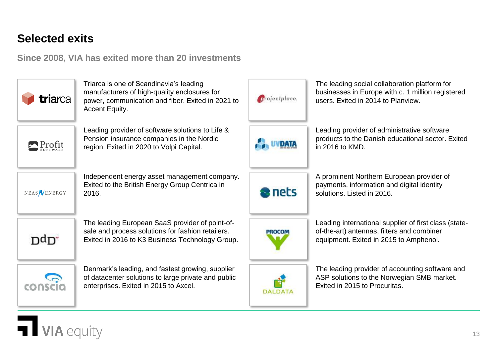# **Selected exits**

IA equity

**Since 2008, VIA has exited more than 20 investments**